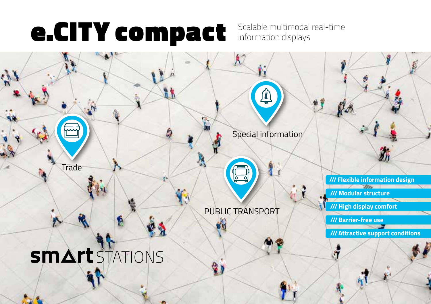# e. CITY compact Scalable multimodal real-time

information displays

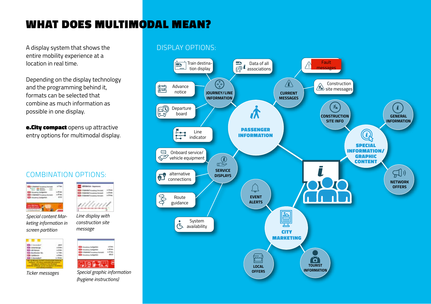## WHAT DOES MULTIMODAL MEAN?

A display system that shows the entire mobility experience at a location in real time.

Depending on the display technology and the programming behind it, formats can be selected that combine as much information as possible in one display.

e.City compact opens up attractive entry options for multimodal display.

#### COMBINATION OPTIONS:





*Special content Marketing information in screen partition*



*Ticker messages*



*Line display with construction site message*



*Special graphic information (hygiene instructions)* 

#### DISPLAY OPTIONS:

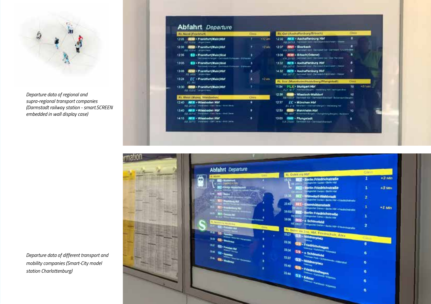

*Departure data of regional and supra-regional transport companies (Darmstadt railway station - smart.SCREEN embedded in wall display case)*





*Departure data of different transport and mobility companies (Smart-City model station Charlottenburg)*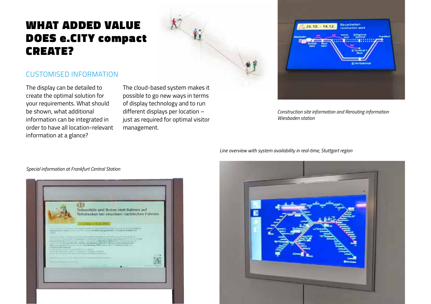## WHAT ADDED VALUE DOES e.CITY compact CREATE?



#### CUSTOMISED INFORMATION

The display can be detailed to create the optimal solution for your requirements. What should be shown, what additional information can be integrated in order to have all location-relevant information at a glance?

The cloud-based system makes it possible to go new ways in terms of display technology and to run different displays per location – just as required for optimal visitor management.



*Construction site information and Rerouting information Wiesbaden station*

*Line overview with system availability in real-time, Stuttgart region*





*Special information at Frankfurt Central Station*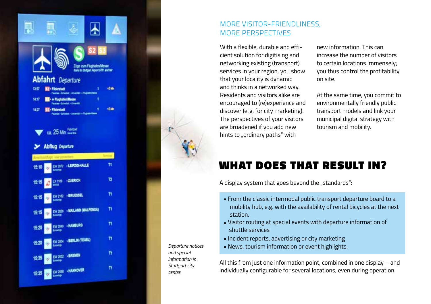

#### MORE VISITOR-FRIENDLINESS, MORE PERSPECTIVES

With a flexible, durable and efficient solution for digitising and networking existing (transport) services in your region, you show that your locality is dynamic and thinks in a networked way. Residents and visitors alike are encouraged to (re)experience and discover (e.g. for city marketing). The perspectives of your visitors are broadened if you add new hints to "ordinary paths" with

new information. This can increase the number of visitors to certain locations immensely; you thus control the profitability on site.

At the same time, you commit to environmentally friendly public transport models and link your municipal digital strategy with tourism and mobility.

## WHAT DOES THAT RESULT IN?

A display system that goes beyond the "standards":

- From the classic intermodal public transport departure board to a mobility hub, e.g. with the availability of rental bicycles at the next station.
- Visitor routing at special events with departure information of shuttle services
- Incident reports, advertising or city marketing
- News, tourism information or event highlights.

All this from just one information point, combined in one display – and individually configurable for several locations, even during operation.

*Departure notices and special information in Stuttgart city centre*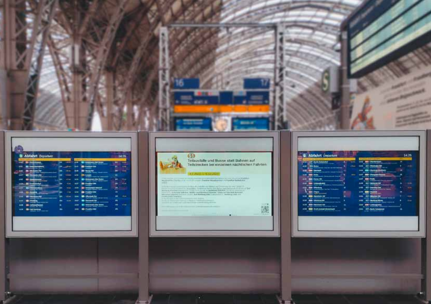









**PER 1999** 



٠ **College Col AND SHOPS OF REAL PROPERTY** Name and Address of the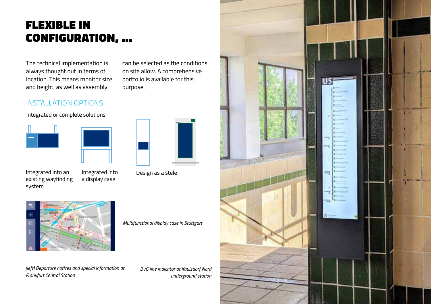## FLEXIBLE IN CONFIGURATION, ...

The technical implementation is always thought out in terms of location. This means monitor size and height, as well as assembly

#### INSTALLATION OPTIONS:

Integrated or complete solutions







can be selected as the conditions on site allow. A comprehensive portfolio is available for this

purpose.

Integrated into an existing wayfinding system

Integrated into a display case

Design as a stele

*Multifunctional display case in Stuttgart*



*(left) Departure notices and special information at Frankfurt Central Station*

*BVG line indicator at Kaulsdorf Nord underground station*

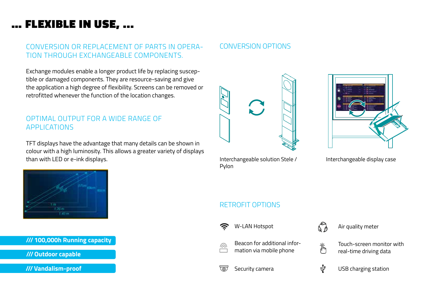## … FLEXIBLE IN USE, ...

#### CONVERSION OR REPLACEMENT OF PARTS IN OPERA-TION THROUGH EXCHANGEABLE COMPONENTS.

Exchange modules enable a longer product life by replacing susceptible or damaged components. They are resource-saving and give the application a high degree of flexibility. Screens can be removed or retrofitted whenever the function of the location changes.

#### OPTIMAL OUTPUT FOR A WIDE RANGE OF APPLICATIONS

TFT displays have the advantage that many details can be shown in colour with a high luminosity. This allows a greater variety of displays than with LED or e-ink displays.



**/// 100,000h Running capacity**

**/// Outdoor capable**

**/// Vandalism-proof**

#### CONVERSION OPTIONS



Interchangeable solution Stele / Pylon



Interchangeable display case

#### RETROFIT OPTIONS

|                        | W-LAN Hotspot                                           |   | Air quality meter                                   |
|------------------------|---------------------------------------------------------|---|-----------------------------------------------------|
| $\widehat{\mathbb{P}}$ | Beacon for additional infor-<br>mation via mobile phone | 湍 | Touch-screen monitor with<br>real-time driving data |
| ⋓                      | Security camera                                         |   | USB charging station                                |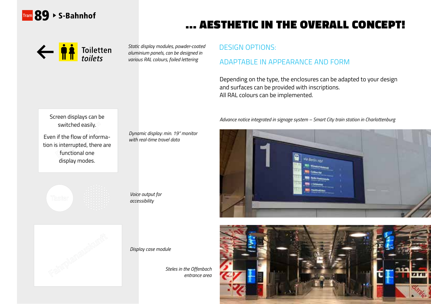

## ... AESTHETIC IN THE OVERALL CONCEPT!



*Static display modules, powder-coated aluminium panels, can be designed in various RAL colours, foiled lettering*

#### DESIGN OPTIONS:

#### ADAPTABLE IN APPEARANCE AND FORM

Depending on the type, the enclosures can be adapted to your design and surfaces can be provided with inscriptions. All RAL colours can be implemented.

Screen displays can be switched easily. Even if the flow of information is interrupted, there are functional one display modes.

*Dynamic display: min. 19" monitor with real-time travel data*

Taster





*Display case module*

*Steles in the Offenbach entrance area* *Advance notice integrated in signage system – Smart City train station in Charlottenburg* 



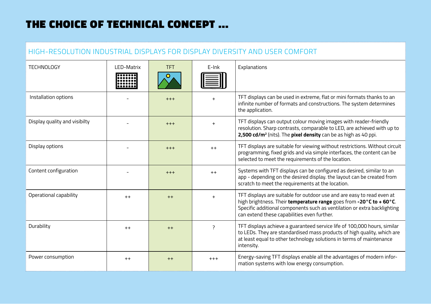## THE CHOICE OF TECHNICAL CONCEPT ...

| HIGH-RESOLUTION INDUSTRIAL DISPLAYS FOR DISPLAY DIVERSITY AND USER COMFORT |                |                 |           |                                                                                                                                                                                                                                                                         |  |  |  |
|----------------------------------------------------------------------------|----------------|-----------------|-----------|-------------------------------------------------------------------------------------------------------------------------------------------------------------------------------------------------------------------------------------------------------------------------|--|--|--|
| <b>TECHNOLOGY</b>                                                          | LED-Matrix<br> | <b>TFT</b><br>O | $E$ -Ink  | Explanations                                                                                                                                                                                                                                                            |  |  |  |
| Installation options                                                       |                | $+++$           |           | TFT displays can be used in extreme, flat or mini formats thanks to an<br>infinite number of formats and constructions. The system determines<br>the application.                                                                                                       |  |  |  |
| Display quality and visibilty                                              |                | $+++$           |           | TFT displays can output colour moving images with reader-friendly<br>resolution. Sharp contrasts, comparable to LED, are achieved with up to<br>2,500 cd/m <sup>2</sup> (nits). The pixel density can be as high as 40 ppi.                                             |  |  |  |
| Display options                                                            |                | $+++$           | $+ +$     | TFT displays are suitable for viewing without restrictions. Without circuit<br>programming, fixed grids and via simple interfaces, the content can be<br>selected to meet the requirements of the location.                                                             |  |  |  |
| Content configuration                                                      |                | $^{+++}$        | $^{++}$   | Systems with TFT displays can be configured as desired, similar to an<br>app - depending on the desired display. the layout can be created from<br>scratch to meet the requirements at the location.                                                                    |  |  |  |
| Operational capability                                                     | $^{++}$        | $++$            | $\ddot{}$ | TFT displays are suitable for outdoor use and are easy to read even at<br>high brightness. Their temperature range goes from -20°C to +60°C.<br>Specific additional components such as ventilation or extra backlighting<br>can extend these capabilities even further. |  |  |  |
| Durability                                                                 | $^{++}$        | $++$            | ?         | TFT displays achieve a guaranteed service life of 100,000 hours, similar<br>to LEDs. They are standardised mass products of high quality, which are<br>at least equal to other technology solutions in terms of maintenance<br>intensity.                               |  |  |  |
| Power consumption                                                          | $++$           | $++$            | $^{+++}$  | Energy-saving TFT displays enable all the advantages of modern infor-<br>mation systems with low energy consumption.                                                                                                                                                    |  |  |  |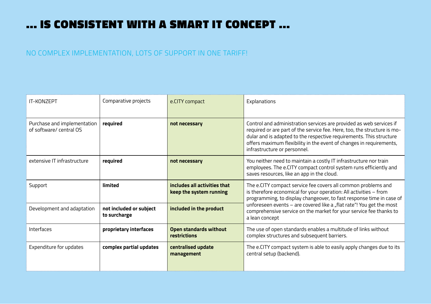## ... IS CONSISTENT WITH A SMART IT CONCEPT ...

#### NO COMPLEX IMPLEMENTATION, LOTS OF SUPPORT IN ONE TARIFF!

| <b>IT-KONZEPT</b>                                      | Comparative projects                    | e.CITY compact                                          | Explanations                                                                                                                                                                                                                                                                                                                  |  |
|--------------------------------------------------------|-----------------------------------------|---------------------------------------------------------|-------------------------------------------------------------------------------------------------------------------------------------------------------------------------------------------------------------------------------------------------------------------------------------------------------------------------------|--|
| Purchase and implementation<br>of software/ central OS | required                                | not necessary                                           | Control and administration services are provided as web services if<br>required or are part of the service fee. Here, too, the structure is mo-<br>dular and is adapted to the respective requirements. This structure<br>offers maximum flexibility in the event of changes in requirements,<br>infrastructure or personnel. |  |
| extensive IT infrastructure                            | required                                | not necessary                                           | You neither need to maintain a costly IT infrastructure nor train<br>employees. The e.CITY compact control system runs efficiently and<br>saves resources, like an app in the cloud.                                                                                                                                          |  |
| Support                                                | limited                                 | includes all activities that<br>keep the system running | The e.CITY compact service fee covers all common problems and<br>is therefore economical for your operation: All activities - from<br>programming, to display changeover, to fast response time in case of                                                                                                                    |  |
| Development and adaptation                             | not included or subject<br>to surcharge | included in the product                                 | unforeseen events - are covered like a "flat rate"! You get the most<br>comprehensive service on the market for your service fee thanks to<br>a lean concept                                                                                                                                                                  |  |
| Interfaces                                             | proprietary interfaces                  | Open standards without<br>restrictions                  | The use of open standards enables a multitude of links without<br>complex structures and subsequent barriers.                                                                                                                                                                                                                 |  |
| Expenditure for updates                                | complex partial updates                 | centralised update<br>management                        | The e.CITY compact system is able to easily apply changes due to its<br>central setup (backend).                                                                                                                                                                                                                              |  |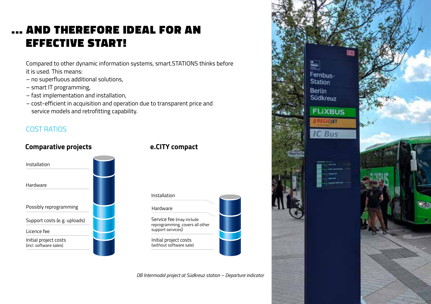## **AND THEREFORE IDEAL FOR AN** EFFECTIVE START!

Compared to other dynamic information systems, smart.STATIONS thinks before it is used. This means:

- no superfluous additional solutions,
- smart IT programming,
- fast implementation and installation,
- cost-efficient in acquisition and operation due to transparent price and service models and retrofitting capability.

### COST RATIOS

#### **Comparative projects e.CITY compact**







*DB Intermodal project at Südkreuz station – Departure indicator*

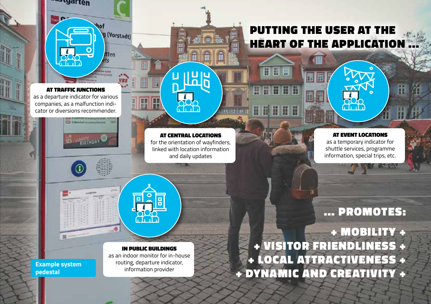## PUTTING THE USER AT THE **HEART OF THE APPLICATION**

田田

H

**ACTES LUES** 

**FEBB** 

**HHHHH** 

#### AT TRAFFIC JUNCTIONS

**wydrten** 

hof

g (Vorstadt)

VBB

**atten** pře

**Kalif** 

as a departure indicator for various companies, as a malfunction indicator or diversions recommender. **LLUIS S-Salternar Incorp** 

**ETA-5-Astrologi accounts to** 

 $\omega$ 

AT CENTRAL LOCATIONS for the orientation of wayfinders, linked with location information and daily updates

**ag**c

咄

 $\frac{1}{n}$ 

#### AT EVENT LOCATIONS

229<br>Ani

用

**Comment** 

as a temporary indicator for shuttle services, programme information, special trips, etc.

... PROMOTES:

IN PUBLIC BUILDINGS

a

**pedestal** 

 $\overline{\mathbf{R}}$ 

as an indoor monitor for in-house routing, departure indicator, **Example system Example system Example system Example system Example system Example System EXAMPLE** 

+ MOBILITY + + VISITOR FRIENDLINESS + + LOCAL ATTRACTIVENESS + + DYNAMIC AND CREATIVITY +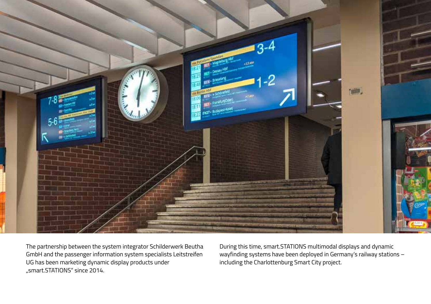

The partnership between the system integrator Schilderwerk Beutha GmbH and the passenger information system specialists Leitstreifen UG has been marketing dynamic display products under "smart.STATIONS" since 2014.

During this time, smart.STATIONS multimodal displays and dynamic wayfinding systems have been deployed in Germany's railway stations – including the Charlottenburg Smart City project.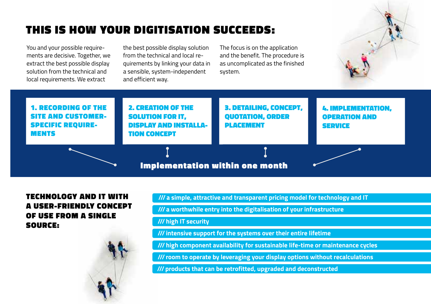## THIS IS HOW YOUR DIGITISATION SUCCEEDS:

You and your possible requirements are decisive. Together, we extract the best possible display solution from the technical and local requirements. We extract

the best possible display solution from the technical and local requirements by linking your data in a sensible, system-independent and efficient way.

The focus is on the application and the benefit. The procedure is as uncomplicated as the finished system.





#### TECHNOLOGY AND IT WITH A USER-FRIENDLY CONCEPT OF USE FROM A SINGLE SOURCE:



**/// a simple, attractive and transparent pricing model for technology and IT** 

**/// a worthwhile entry into the digitalisation of your infrastructure** 

#### **/// high IT security**

**/// intensive support for the systems over their entire lifetime** 

**/// high component availability for sustainable life-time or maintenance cycles**

**/// room to operate by leveraging your display options without recalculations**

**/// products that can be retrofitted, upgraded and deconstructed**